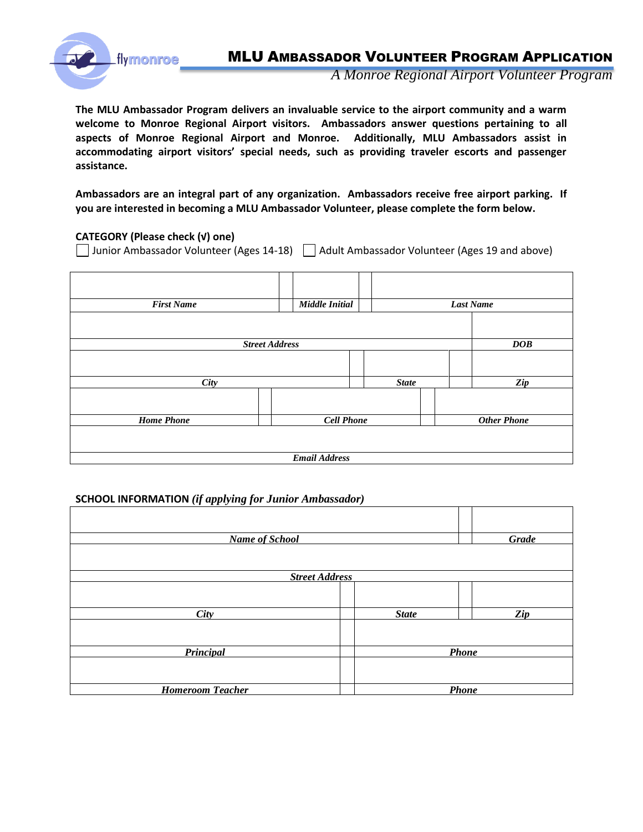

*A Monroe Regional Airport Volunteer Program*

**The MLU Ambassador Program delivers an invaluable service to the airport community and a warm welcome to Monroe Regional Airport visitors. Ambassadors answer questions pertaining to all aspects of Monroe Regional Airport and Monroe. Additionally, MLU Ambassadors assist in accommodating airport visitors' special needs, such as providing traveler escorts and passenger assistance.**

**Ambassadors are an integral part of any organization. Ambassadors receive free airport parking. If you are interested in becoming a MLU Ambassador Volunteer, please complete the form below.**

#### **CATEGORY (Please check (√) one)**

□ Junior Ambassador Volunteer (Ages 14-18) □ Adult Ambassador Volunteer (Ages 19 and above)

| <b>First Name</b>     |                   | <b>Middle Initial</b> |  |                    | <b>Last Name</b> |                |  |
|-----------------------|-------------------|-----------------------|--|--------------------|------------------|----------------|--|
|                       |                   |                       |  |                    |                  |                |  |
| <b>Street Address</b> |                   |                       |  | DOB                |                  |                |  |
|                       |                   |                       |  |                    |                  |                |  |
| City                  |                   |                       |  | <b>State</b>       |                  | $\mathbb{Z}ip$ |  |
|                       |                   |                       |  |                    |                  |                |  |
| <b>Home Phone</b>     | <b>Cell Phone</b> |                       |  | <b>Other Phone</b> |                  |                |  |
|                       |                   |                       |  |                    |                  |                |  |
| <b>Email Address</b>  |                   |                       |  |                    |                  |                |  |

#### **SCHOOL INFORMATION** *(if applying for Junior Ambassador)*

| <b>Name of School</b>   |              | Grade        |  |  |  |
|-------------------------|--------------|--------------|--|--|--|
|                         |              |              |  |  |  |
| <b>Street Address</b>   |              |              |  |  |  |
|                         |              |              |  |  |  |
|                         |              |              |  |  |  |
| <b>City</b>             | <b>State</b> | Zip          |  |  |  |
|                         |              |              |  |  |  |
|                         |              |              |  |  |  |
| Principal               |              | <b>Phone</b> |  |  |  |
|                         |              |              |  |  |  |
|                         |              |              |  |  |  |
| <b>Homeroom Teacher</b> |              | Phone        |  |  |  |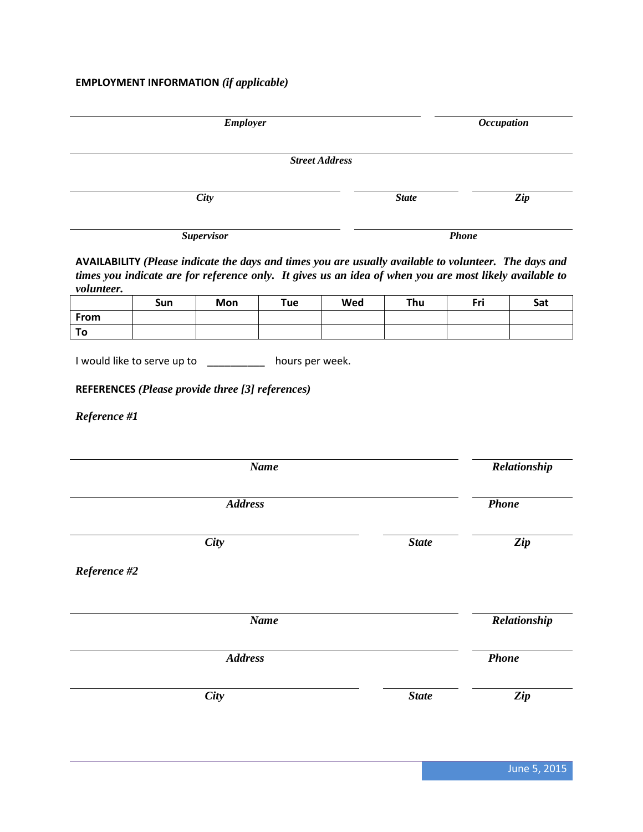# **EMPLOYMENT INFORMATION** *(if applicable)*

| <b>Employer</b>                                                                                                                                                                                                                       | <i><b>Occupation</b></i> |              |
|---------------------------------------------------------------------------------------------------------------------------------------------------------------------------------------------------------------------------------------|--------------------------|--------------|
| <b>Street Address</b>                                                                                                                                                                                                                 |                          |              |
| City                                                                                                                                                                                                                                  | <b>State</b>             | Zip          |
| <b>Supervisor</b>                                                                                                                                                                                                                     |                          | <b>Phone</b> |
| AVAILABILITY (Please indicate the days and times you are usually available to volunteer. The days and<br>times you indicate are for reference only. It gives us an idea of when you are most likely available to<br><i>volunteer.</i> |                          |              |

|      | Sun | Mon | Tue | Wed | Thu | Fri | Sat |
|------|-----|-----|-----|-----|-----|-----|-----|
| From |     |     |     |     |     |     |     |
| ט ו  |     |     |     |     |     |     |     |

I would like to serve up to \_\_\_\_\_\_\_\_\_\_\_\_ hours per week.

### **REFERENCES** *(Please provide three [3] references)*

*Reference #1*

| <b>Name</b>    | Relationship |              |
|----------------|--------------|--------------|
| <b>Address</b> |              | <b>Phone</b> |
| City           | <b>State</b> | Zip          |
| Reference #2   |              |              |
| <b>Name</b>    |              | Relationship |
| <b>Address</b> |              | <b>Phone</b> |
| City           | <b>State</b> | Zip          |